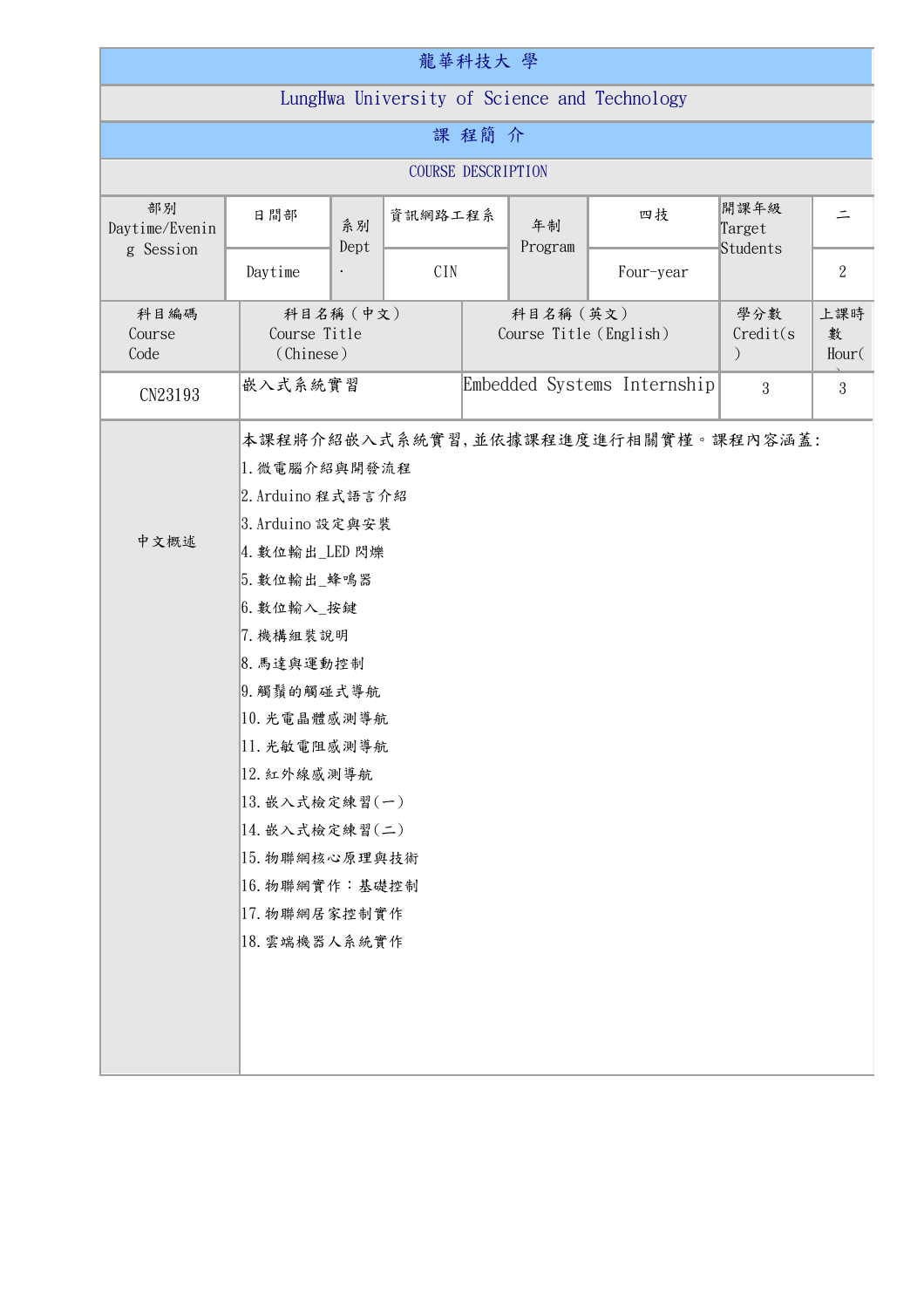| 龍華科技大 學                                      |                           |                                                                                                                                                                                                                                                                                                                                                                                |         |  |                                     |           |                                     |                   |  |  |  |  |
|----------------------------------------------|---------------------------|--------------------------------------------------------------------------------------------------------------------------------------------------------------------------------------------------------------------------------------------------------------------------------------------------------------------------------------------------------------------------------|---------|--|-------------------------------------|-----------|-------------------------------------|-------------------|--|--|--|--|
| LungHwa University of Science and Technology |                           |                                                                                                                                                                                                                                                                                                                                                                                |         |  |                                     |           |                                     |                   |  |  |  |  |
| 課程簡介                                         |                           |                                                                                                                                                                                                                                                                                                                                                                                |         |  |                                     |           |                                     |                   |  |  |  |  |
| <b>COURSE DESCRIPTION</b>                    |                           |                                                                                                                                                                                                                                                                                                                                                                                |         |  |                                     |           |                                     |                   |  |  |  |  |
| 部別<br>Daytime/Evenin<br>g Session            | 日間部                       | 系別<br>Dept                                                                                                                                                                                                                                                                                                                                                                     | 資訊網路工程系 |  | 年制<br>Program                       | 四技        | 開課年級<br>Target<br>Students          | $\equiv$          |  |  |  |  |
|                                              | Daytime                   | $\ddot{\phantom{0}}$                                                                                                                                                                                                                                                                                                                                                           | CIN     |  |                                     | Four-year |                                     | $\overline{2}$    |  |  |  |  |
| 科目編碼<br>Course<br>Code                       | Course Title<br>(Chinese) | 科目名稱 (中文)                                                                                                                                                                                                                                                                                                                                                                      |         |  | 科目名稱 (英文)<br>Course Title (English) |           | 學分數<br>$Credi$ t(s<br>$\mathcal{C}$ | 上課時<br>數<br>Hour( |  |  |  |  |
| CN23193                                      |                           | 嵌入式系統實習                                                                                                                                                                                                                                                                                                                                                                        |         |  |                                     |           | 3                                   | 3                 |  |  |  |  |
| 中文概述                                         |                           | Embedded Systems Internship<br>本課程將介紹嵌入式系統實習,並依據課程進度進行相關實槿。課程內容涵蓋:<br>1. 微電腦介紹與開發流程<br>2. Arduino 程式語言介紹<br>3. Arduino 設定與安裝<br>4. 數位輸出_LED 閃爍<br>5. 數位輸出_蜂鳴器<br>6. 數位輸入_按鍵<br>7. 機構組裝說明<br>8. 馬達與運動控制<br>9. 觸鬚的觸碰式導航<br>10. 光電晶體感測導航<br>11. 光敏電阻感測導航<br>12. 紅外線感測導航<br>13. 嵌入式檢定練習(一)<br>14. 嵌入式檢定練習(二)<br>15. 物聯網核心原理與技術<br>16. 物聯網實作:基礎控制<br>17. 物聯網居家控制實作<br>18. 雲端機器人系統實作 |         |  |                                     |           |                                     |                   |  |  |  |  |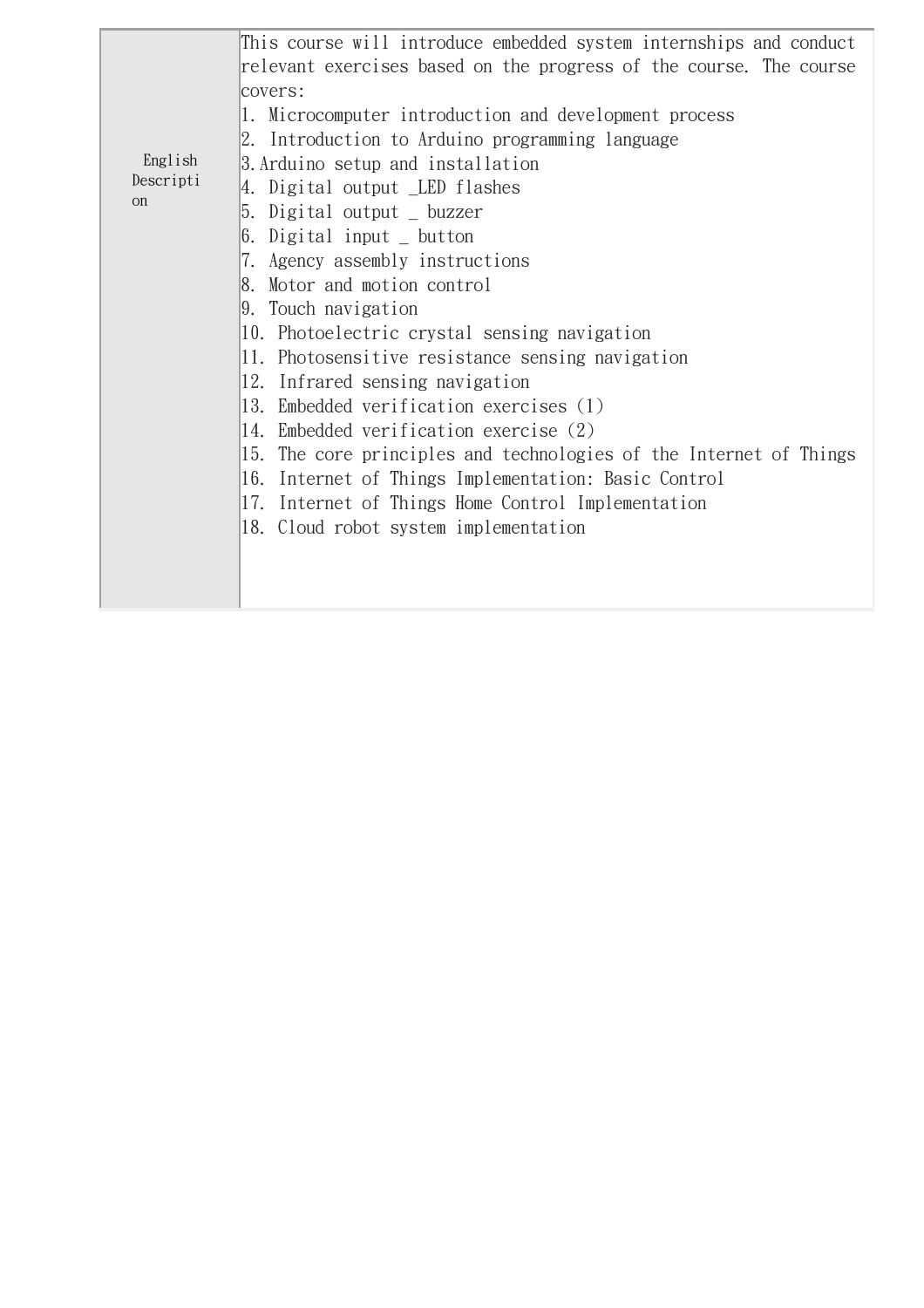| English<br>Descripti<br>on | This course will introduce embedded system internships and conduct<br>relevant exercises based on the progress of the course. The course<br>covers:<br>1. Microcomputer introduction and development process<br>2. Introduction to Arduino programming language<br>3. Arduino setup and installation<br>4. Digital output _LED flashes<br>5. Digital output $\angle$ buzzer<br>$6.$ Digital input button<br>7. Agency assembly instructions<br>8. Motor and motion control<br>9. Touch navigation<br>10. Photoelectric crystal sensing navigation<br>11. Photosensitive resistance sensing navigation |  |  |  |  |  |
|----------------------------|-------------------------------------------------------------------------------------------------------------------------------------------------------------------------------------------------------------------------------------------------------------------------------------------------------------------------------------------------------------------------------------------------------------------------------------------------------------------------------------------------------------------------------------------------------------------------------------------------------|--|--|--|--|--|
|                            | 12. Infrared sensing navigation<br>13. Embedded verification exercises (1)<br>14. Embedded verification exercise (2)<br>15.<br>The core principles and technologies of the Internet of Things<br>16.<br>Internet of Things Implementation: Basic Control<br>17.<br>Internet of Things Home Control Implementation<br>18. Cloud robot system implementation                                                                                                                                                                                                                                            |  |  |  |  |  |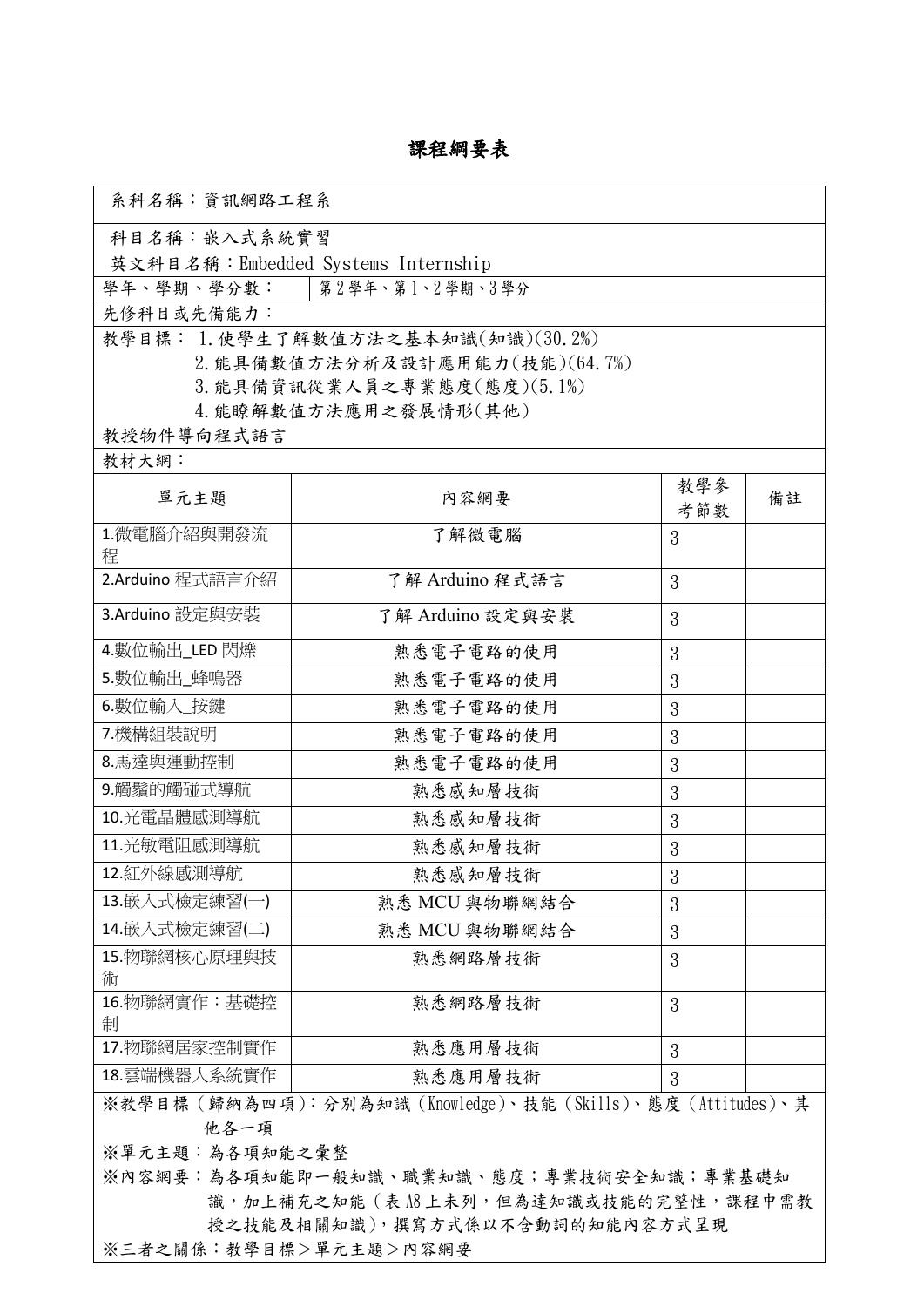## 課程綱要表

| 系科名稱:資訊網路工程系                                             |                             |                |    |  |  |  |  |  |  |
|----------------------------------------------------------|-----------------------------|----------------|----|--|--|--|--|--|--|
| 科目名稱:嵌入式系統實習                                             |                             |                |    |  |  |  |  |  |  |
| 英文科目名稱:Embedded Systems Internship                       |                             |                |    |  |  |  |  |  |  |
| 第2學年、第1、2學期、3學分<br>學年、學期、學分數:                            |                             |                |    |  |  |  |  |  |  |
| 先修科目或先備能力:                                               |                             |                |    |  |  |  |  |  |  |
| 教學目標: 1. 使學生了解數值方法之基本知識(知識)(30.2%)                       |                             |                |    |  |  |  |  |  |  |
| 2. 能具備數值方法分析及設計應用能力(技能)(64.7%)                           |                             |                |    |  |  |  |  |  |  |
|                                                          | 3. 能具備資訊從業人員之專業態度(態度)(5.1%) |                |    |  |  |  |  |  |  |
| 4. 能瞭解數值方法應用之發展情形(其他)                                    |                             |                |    |  |  |  |  |  |  |
| 教授物件導向程式語言<br>教材大網:                                      |                             |                |    |  |  |  |  |  |  |
|                                                          |                             | 教學參            |    |  |  |  |  |  |  |
| 單元主題                                                     | 內容網要                        | 考節數            | 備註 |  |  |  |  |  |  |
| 1.微電腦介紹與開發流                                              | 了解微電腦                       | 3              |    |  |  |  |  |  |  |
| 程                                                        |                             |                |    |  |  |  |  |  |  |
| 2.Arduino 程式語言介紹                                         | 了解 Arduino 程式語言             | 3              |    |  |  |  |  |  |  |
| 3.Arduino 設定與安裝                                          | 了解 Arduino 設定與安裝            | 3              |    |  |  |  |  |  |  |
| 4.數位輸出_LED 閃爍                                            | 熟悉電子電路的使用                   | 3              |    |  |  |  |  |  |  |
| 5.數位輸出_蜂鳴器                                               | 熟悉電子電路的使用                   | 3              |    |  |  |  |  |  |  |
| 6.數位輸入_按鍵                                                | 熟悉電子電路的使用                   | 3              |    |  |  |  |  |  |  |
| 7.機構組裝說明                                                 | 熟悉電子電路的使用                   | 3              |    |  |  |  |  |  |  |
| 8.馬達與運動控制                                                | 熟悉電子電路的使用                   | 3              |    |  |  |  |  |  |  |
| 9.觸鬚的觸碰式導航                                               | 熟悉感知層技術                     | 3              |    |  |  |  |  |  |  |
| 10.光電晶體感測導航                                              | 熟悉感知層技術                     | 3              |    |  |  |  |  |  |  |
| 11.光敏電阻感測導航                                              | 熟悉感知層技術                     | $\overline{3}$ |    |  |  |  |  |  |  |
| 12.紅外線感測導航                                               | 熟悉感知層技術                     | 3              |    |  |  |  |  |  |  |
| 13.嵌入式檢定練習(一)                                            | 熟悉 MCU 與物聯網結合               | 3              |    |  |  |  |  |  |  |
| 14.嵌入式檢定練習(二)                                            | 熟悉 MCU 與物聯網結合               | $\mathfrak{Z}$ |    |  |  |  |  |  |  |
| 15.物聯網核心原理與技                                             | 熟悉網路層技術                     | 3              |    |  |  |  |  |  |  |
| 術                                                        |                             |                |    |  |  |  |  |  |  |
| 16.物聯網實作:基礎控<br>制                                        | 熟悉網路層技術                     | 3              |    |  |  |  |  |  |  |
| 17.物聯網居家控制實作                                             | 熟悉應用層技術                     | 3              |    |  |  |  |  |  |  |
| 18.雲端機器人系統實作                                             | 熟悉應用層技術                     | 3              |    |  |  |  |  |  |  |
| ※教學目標(歸納為四項):分別為知識(Knowledge)、技能(Skills)、態度(Attitudes)、其 |                             |                |    |  |  |  |  |  |  |
| 他各一項                                                     |                             |                |    |  |  |  |  |  |  |
| ※單元主題:為各項知能之彙整                                           |                             |                |    |  |  |  |  |  |  |
| ※內容網要:為各項知能即一般知識、職業知識、態度;專業技術安全知識;專業基礎知                  |                             |                |    |  |  |  |  |  |  |
| 識, 加上補充之知能 ( 表 A8 上未列, 但為達知識或技能的完整性, 課程中需教               |                             |                |    |  |  |  |  |  |  |
| 授之技能及相關知識),撰寫方式係以不含動詞的知能內容方式呈現                           |                             |                |    |  |  |  |  |  |  |

※三者之關係:教學目標>單元主題>內容網要